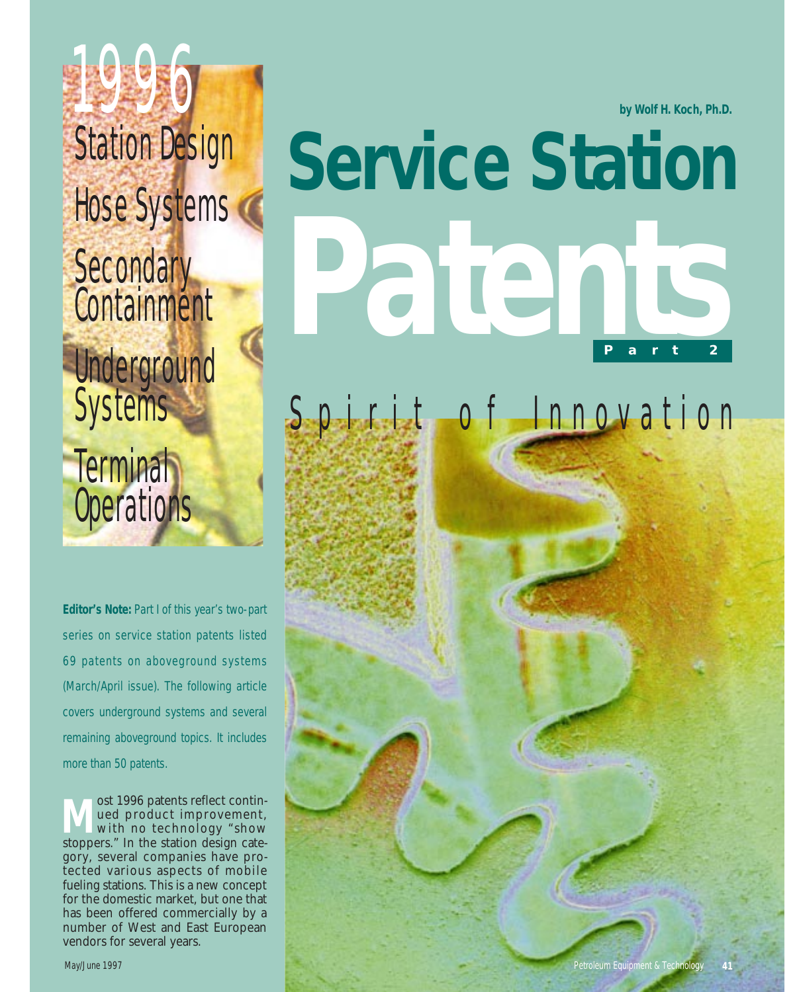**by Wolf H. Koch, Ph.D.**

# 1996 Station Design Hose Systems **Secondary Containment Underground Systems Terminal Operations**

**Editor's Note:** Part I of this year's two-part series on service station patents listed 69 patents on aboveground systems (March/April issue). The following article covers underground systems and several remaining aboveground topics. It includes more than 50 patents.

ost 1996 patents reflect continued product improvement, with no technology "show stoppers." In the station design category, several companies have protected various aspects of mobile fueling stations. This is a new concept for the domestic market, but one that has been offered commercially by a number of West and East European vendors for several years.

# **Service Station Part 2 Patents**

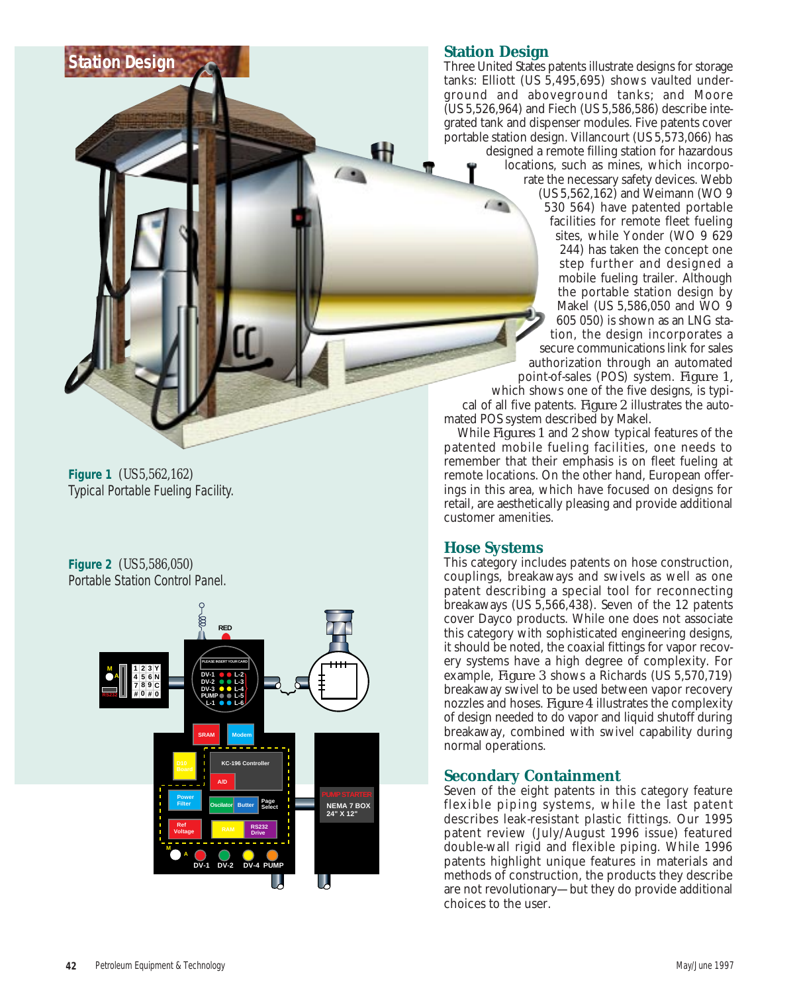## **Station Design**

œ

Ш

Three United States patents illustrate designs for storage tanks: Elliott (US 5,495,695) shows vaulted underground and aboveground tanks; and Moore (US 5,526,964) and Fiech (US 5,586,586) describe integrated tank and dispenser modules. Five patents cover portable station design. Villancourt (US 5,573,066) has

designed a remote filling station for hazardous locations, such as mines, which incorporate the necessary safety devices. Webb (US 5,562,162) and Weimann (WO 9 530 564) have patented portable facilities for remote fleet fueling sites, while Yonder (WO 9 629 244) has taken the concept one step further and designed a mobile fueling trailer. Although the portable station design by Makel (US 5,586,050 and WO 9 605 050) is shown as an LNG station, the design incorporates a secure communications link for sales authorization through an automated

point-of-sales (POS) system. *Figure 1,* which shows one of the five designs, is typical of all five patents. *Figure 2* illustrates the automated POS system described by Makel.

While *Figures 1* and *2* show typical features of the patented mobile fueling facilities, one needs to remember that their emphasis is on fleet fueling at remote locations. On the other hand, European offerings in this area, which have focused on designs for retail, are aesthetically pleasing and provide additional customer amenities.

### **Hose Systems**

This category includes patents on hose construction, couplings, breakaways and swivels as well as one patent describing a special tool for reconnecting breakaways (US 5,566,438). Seven of the 12 patents cover Dayco products. While one does not associate this category with sophisticated engineering designs, it should be noted, the coaxial fittings for vapor recovery systems have a high degree of complexity. For example, *Figure 3* shows a Richards (US 5,570,719) breakaway swivel to be used between vapor recovery nozzles and hoses. *Figure 4* illustrates the complexity of design needed to do vapor and liquid shutoff during breakaway, combined with swivel capability during normal operations.

# **Secondary Containment**

Seven of the eight patents in this category feature flexible piping systems, while the last patent describes leak-resistant plastic fittings. Our 1995 patent review (July/August 1996 issue) featured double-wall rigid and flexible piping. While 1996 patents highlight unique features in materials and methods of construction, the products they describe are not revolutionary—but they do provide additional choices to the user.

**Figure 1** *(US 5,562,162)* Typical Portable Fueling Facility.

**Station Design**

**Figure 2** *(US 5,586,050)* Portable Station Control Panel.

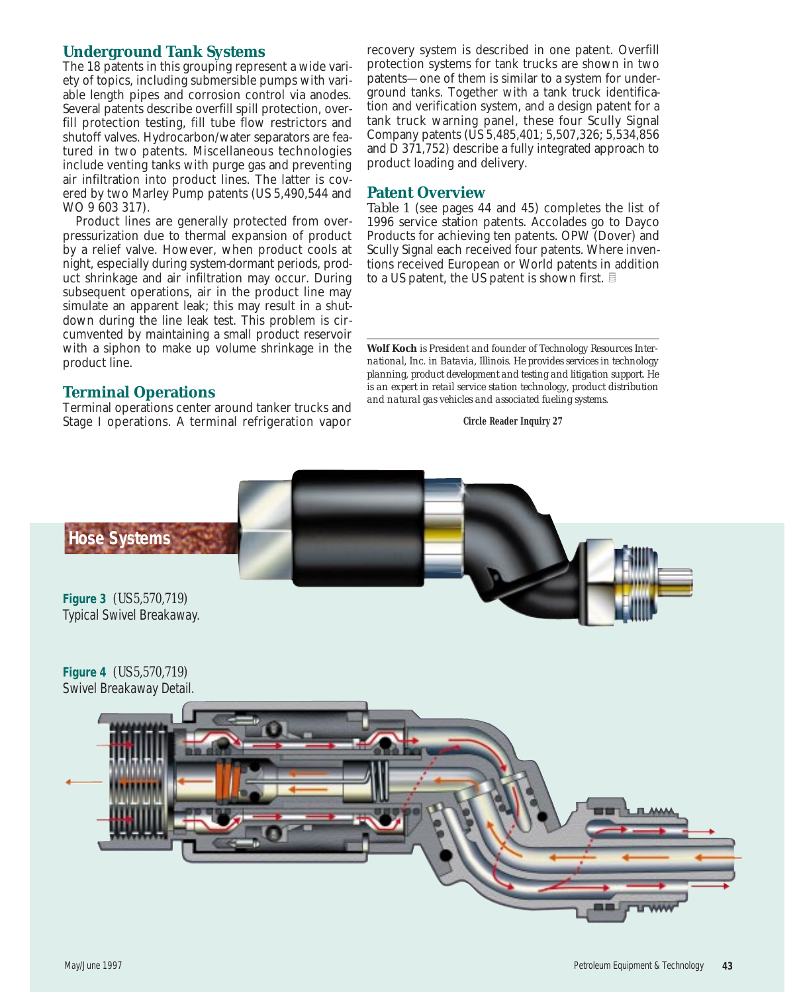## **Underground Tank Systems**

The 18 patents in this grouping represent a wide variety of topics, including submersible pumps with variable length pipes and corrosion control via anodes. Several patents describe overfill spill protection, overfill protection testing, fill tube flow restrictors and shutoff valves. Hydrocarbon/water separators are featured in two patents. Miscellaneous technologies include venting tanks with purge gas and preventing air infiltration into product lines. The latter is covered by two Marley Pump patents (US 5,490,544 and WO 9 603 317).

Product lines are generally protected from overpressurization due to thermal expansion of product by a relief valve. However, when product cools at night, especially during system-dormant periods, product shrinkage and air infiltration may occur. During subsequent operations, air in the product line may simulate an apparent leak; this may result in a shutdown during the line leak test. This problem is circumvented by maintaining a small product reservoir with a siphon to make up volume shrinkage in the product line.

### **Terminal Operations**

Terminal operations center around tanker trucks and Stage I operations. A terminal refrigeration vapor recovery system is described in one patent. Overfill protection systems for tank trucks are shown in two patents—one of them is similar to a system for underground tanks. Together with a tank truck identification and verification system, and a design patent for a tank truck warning panel, these four Scully Signal Company patents (US 5,485,401; 5,507,326; 5,534,856 and  $\overline{D}$  371,752) describe a fully integrated approach to product loading and delivery.

### **Patent Overview**

*Table 1* (see pages 44 and 45) completes the list of 1996 service station patents. Accolades go to Dayco Products for achieving ten patents. OPW (Dover) and Scully Signal each received four patents. Where inventions received European or World patents in addition to a US patent, the US patent is shown first.  $\mathbb B$ 

### **Circle Reader Inquiry 27**



**Wolf Koch** *is President and founder of Technology Resources International, Inc. in Batavia, Illinois. He provides services in technology planning, product development and testing and litigation support. He is an expert in retail service station technology, product distribution and natural gas vehicles and associated fueling systems.*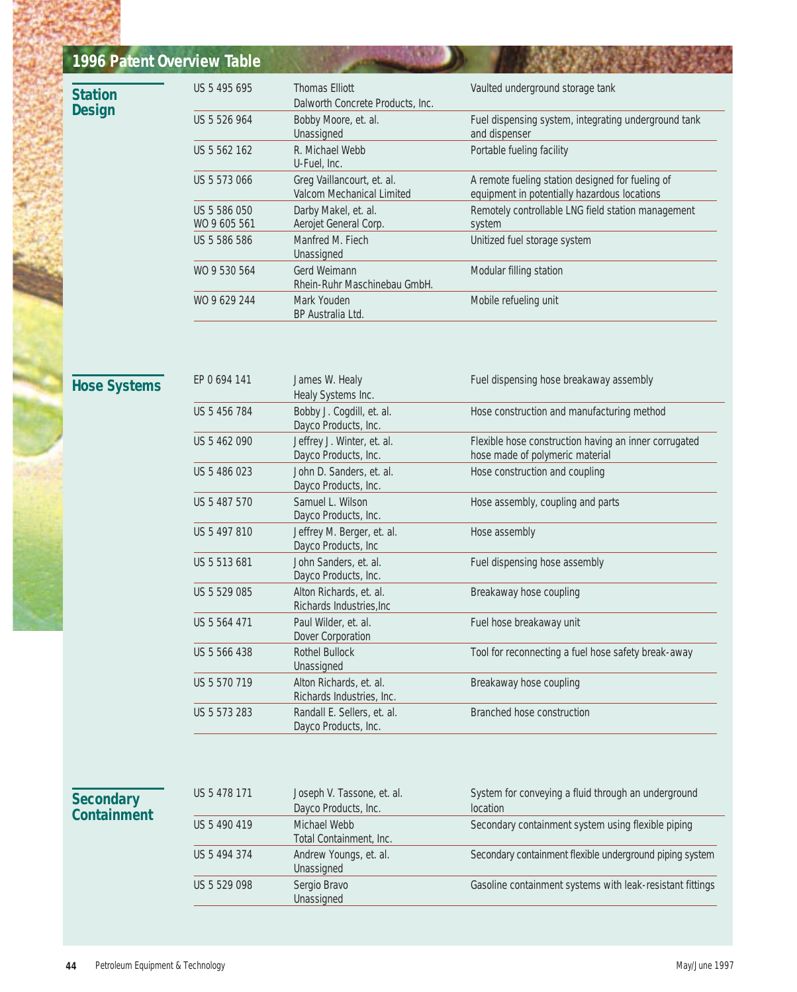| 1996 Patent Overview Table             |                              |                                                           |                                                                                                  |
|----------------------------------------|------------------------------|-----------------------------------------------------------|--------------------------------------------------------------------------------------------------|
| <b>Station</b><br><b>Design</b>        | US 5 495 695                 | <b>Thomas Elliott</b><br>Dalworth Concrete Products, Inc. | Vaulted underground storage tank                                                                 |
|                                        | US 5 526 964                 | Bobby Moore, et. al.<br>Unassigned                        | Fuel dispensing system, integrating underground tank<br>and dispenser                            |
|                                        | US 5 562 162                 | R. Michael Webb<br>U-Fuel, Inc.                           | Portable fueling facility                                                                        |
|                                        | US 5 573 066                 | Greg Vaillancourt, et. al.<br>Valcom Mechanical Limited   | A remote fueling station designed for fueling of<br>equipment in potentially hazardous locations |
|                                        | US 5 586 050<br>WO 9 605 561 | Darby Makel, et. al.<br>Aerojet General Corp.             | Remotely controllable LNG field station management<br>system                                     |
|                                        | US 5 586 586                 | Manfred M. Fiech<br>Unassigned                            | Unitized fuel storage system                                                                     |
|                                        | WO 9 530 564                 | Gerd Weimann<br>Rhein-Ruhr Maschinebau GmbH.              | Modular filling station                                                                          |
|                                        | WO 9 629 244                 | Mark Youden<br>BP Australia Ltd.                          | Mobile refueling unit                                                                            |
|                                        | EP 0 694 141                 | James W. Healy                                            | Fuel dispensing hose breakaway assembly                                                          |
| <b>Hose Systems</b>                    | US 5 456 784                 | Healy Systems Inc.<br>Bobby J. Cogdill, et. al.           |                                                                                                  |
|                                        |                              | Dayco Products, Inc.                                      | Hose construction and manufacturing method                                                       |
|                                        | US 5 462 090                 | Jeffrey J. Winter, et. al.<br>Dayco Products, Inc.        | Flexible hose construction having an inner corrugated<br>hose made of polymeric material         |
|                                        | US 5 486 023                 | John D. Sanders, et. al.<br>Dayco Products, Inc.          | Hose construction and coupling                                                                   |
|                                        | US 5 487 570                 | Samuel L. Wilson<br>Dayco Products, Inc.                  | Hose assembly, coupling and parts                                                                |
|                                        | US 5 497 810                 | Jeffrey M. Berger, et. al.<br>Dayco Products, Inc         | Hose assembly                                                                                    |
|                                        | US 5 513 681                 | John Sanders, et. al.<br>Dayco Products, Inc.             | Fuel dispensing hose assembly                                                                    |
|                                        | US 5 529 085                 | Alton Richards, et. al.<br>Richards Industries, Inc.      | Breakaway hose coupling                                                                          |
|                                        | US 5 564 471                 | Paul Wilder, et. al.<br>Dover Corporation                 | Fuel hose breakaway unit                                                                         |
|                                        | US 5 566 438                 | <b>Rothel Bullock</b><br>Unassigned                       | Tool for reconnecting a fuel hose safety break-away                                              |
|                                        | US 5 570 719                 | Alton Richards, et. al.<br>Richards Industries, Inc.      | Breakaway hose coupling                                                                          |
|                                        | US 5 573 283                 | Randall E. Sellers, et. al.<br>Dayco Products, Inc.       | Branched hose construction                                                                       |
|                                        |                              |                                                           |                                                                                                  |
| <b>Secondary</b><br><b>Containment</b> | US 5 478 171                 | Joseph V. Tassone, et. al.<br>Dayco Products, Inc.        | System for conveying a fluid through an underground<br>location                                  |
|                                        | US 5 490 419                 | Michael Webb<br>Total Containment, Inc.                   | Secondary containment system using flexible piping                                               |
|                                        | US 5 494 374                 | Andrew Youngs, et. al.<br>Unassigned                      | Secondary containment flexible underground piping system                                         |
|                                        | US 5 529 098                 | Sergio Bravo<br>Unassigned                                | Gasoline containment systems with leak-resistant fittings                                        |